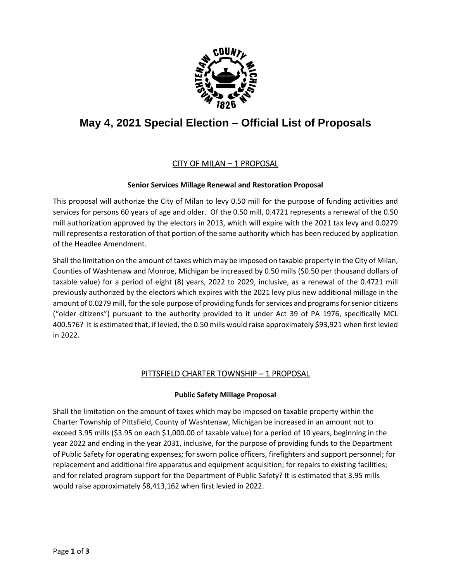

# **May 4, 2021 Special Election – Official List of Proposals**

# CITY OF MILAN – 1 PROPOSAL

#### **Senior Services Millage Renewal and Restoration Proposal**

This proposal will authorize the City of Milan to levy 0.50 mill for the purpose of funding activities and services for persons 60 years of age and older. Of the 0.50 mill, 0.4721 represents a renewal of the 0.50 mill authorization approved by the electors in 2013, which will expire with the 2021 tax levy and 0.0279 mill represents a restoration of that portion of the same authority which has been reduced by application of the Headlee Amendment.

Shall the limitation on the amount of taxes which may be imposed on taxable property in the City of Milan, Counties of Washtenaw and Monroe, Michigan be increased by 0.50 mills (\$0.50 per thousand dollars of taxable value) for a period of eight (8) years, 2022 to 2029, inclusive, as a renewal of the 0.4721 mill previously authorized by the electors which expires with the 2021 levy plus new additional millage in the amount of 0.0279 mill, for the sole purpose of providing funds for services and programs for senior citizens ("older citizens") pursuant to the authority provided to it under Act 39 of PA 1976, specifically MCL 400.576? It is estimated that, if levied, the 0.50 mills would raise approximately \$93,921 when first levied in 2022.

## PITTSFIELD CHARTER TOWNSHIP – 1 PROPOSAL

#### **Public Safety Millage Proposal**

Shall the limitation on the amount of taxes which may be imposed on taxable property within the Charter Township of Pittsfield, County of Washtenaw, Michigan be increased in an amount not to exceed 3.95 mills (\$3.95 on each \$1,000.00 of taxable value) for a period of 10 years, beginning in the year 2022 and ending in the year 2031, inclusive, for the purpose of providing funds to the Department of Public Safety for operating expenses; for sworn police officers, firefighters and support personnel; for replacement and additional fire apparatus and equipment acquisition; for repairs to existing facilities; and for related program support for the Department of Public Safety? It is estimated that 3.95 mills would raise approximately \$8,413,162 when first levied in 2022.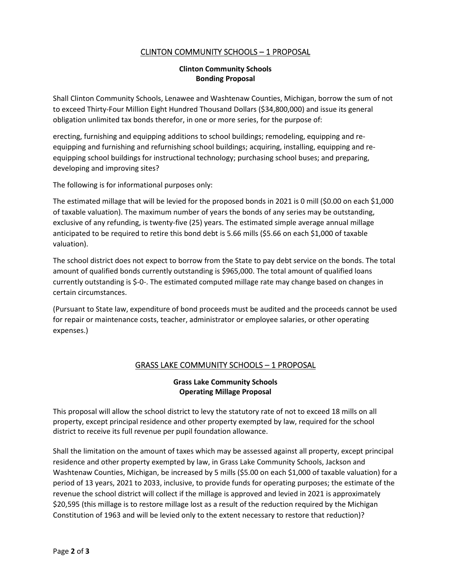## CLINTON COMMUNITY SCHOOLS – 1 PROPOSAL

#### **Clinton Community Schools Bonding Proposal**

Shall Clinton Community Schools, Lenawee and Washtenaw Counties, Michigan, borrow the sum of not to exceed Thirty-Four Million Eight Hundred Thousand Dollars (\$34,800,000) and issue its general obligation unlimited tax bonds therefor, in one or more series, for the purpose of:

erecting, furnishing and equipping additions to school buildings; remodeling, equipping and reequipping and furnishing and refurnishing school buildings; acquiring, installing, equipping and reequipping school buildings for instructional technology; purchasing school buses; and preparing, developing and improving sites?

The following is for informational purposes only:

The estimated millage that will be levied for the proposed bonds in 2021 is 0 mill (\$0.00 on each \$1,000 of taxable valuation). The maximum number of years the bonds of any series may be outstanding, exclusive of any refunding, is twenty-five (25) years. The estimated simple average annual millage anticipated to be required to retire this bond debt is 5.66 mills (\$5.66 on each \$1,000 of taxable valuation).

The school district does not expect to borrow from the State to pay debt service on the bonds. The total amount of qualified bonds currently outstanding is \$965,000. The total amount of qualified loans currently outstanding is \$-0-. The estimated computed millage rate may change based on changes in certain circumstances.

(Pursuant to State law, expenditure of bond proceeds must be audited and the proceeds cannot be used for repair or maintenance costs, teacher, administrator or employee salaries, or other operating expenses.)

## GRASS LAKE COMMUNITY SCHOOLS – 1 PROPOSAL

#### **Grass Lake Community Schools Operating Millage Proposal**

This proposal will allow the school district to levy the statutory rate of not to exceed 18 mills on all property, except principal residence and other property exempted by law, required for the school district to receive its full revenue per pupil foundation allowance.

Shall the limitation on the amount of taxes which may be assessed against all property, except principal residence and other property exempted by law, in Grass Lake Community Schools, Jackson and Washtenaw Counties, Michigan, be increased by 5 mills (\$5.00 on each \$1,000 of taxable valuation) for a period of 13 years, 2021 to 2033, inclusive, to provide funds for operating purposes; the estimate of the revenue the school district will collect if the millage is approved and levied in 2021 is approximately \$20,595 (this millage is to restore millage lost as a result of the reduction required by the Michigan Constitution of 1963 and will be levied only to the extent necessary to restore that reduction)?